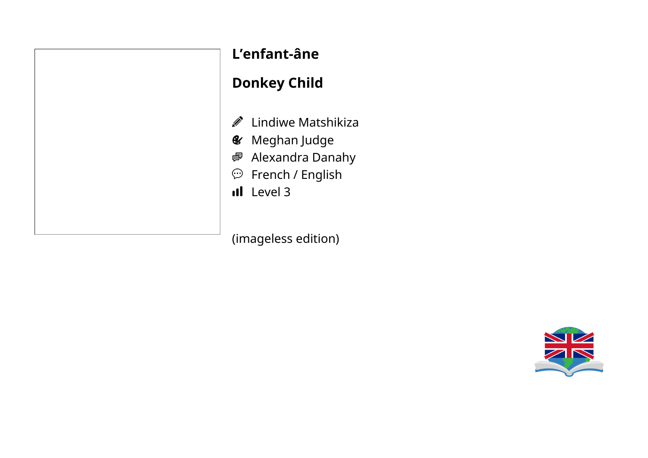|  | L'enf           |     |
|--|-----------------|-----|
|  | Donl            |     |
|  | Ø               | Lir |
|  | $\mathcal{L}$ M |     |
|  | e Al            |     |
|  | $\bigodot$      | Fr  |
|  | ıl              | Le  |
|  |                 |     |
|  |                 |     |

### **L'enfant-âne**

#### **Donkey Child**

- ndiwe Matshikiza
- leghan Judge
- lexandra Danahy
- rench / English
- evel 3

(imageless edition)

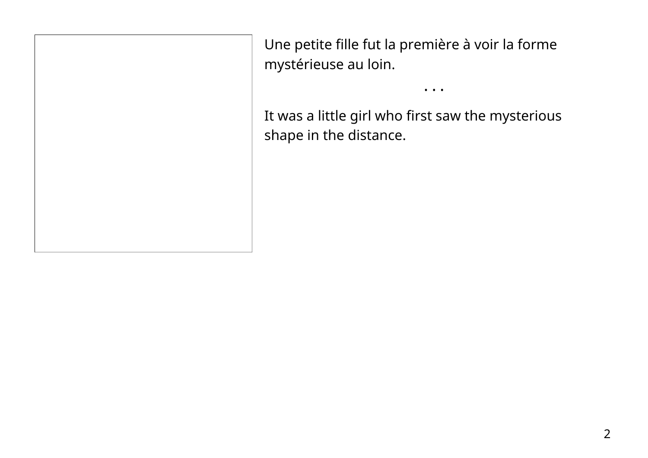Une petite fille fut la première à voir la forme mystérieuse au loin.

It was a little girl who first saw the mysterious shape in the distance.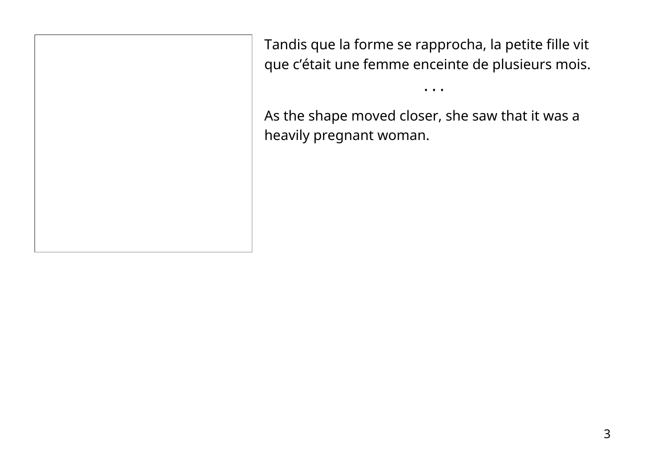Tandis que la forme se rapprocha, la petite fille vit que c'était une femme enceinte de plusieurs mois.

• • •

As the shape moved closer, she saw that it was a heavily pregnant woman.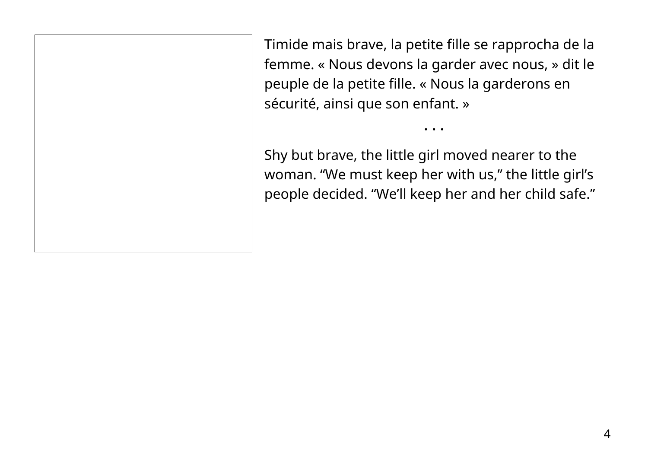Timide mais brave, la petite fille se rapprocha de la femme. « Nous devons la garder avec nous, » dit le peuple de la petite fille. « Nous la garderons en sécurité, ainsi que son enfant. »

Shy but brave, the little girl moved nearer to the woman. "We must keep her with us," the little girl's people decided. "We'll keep her and her child safe."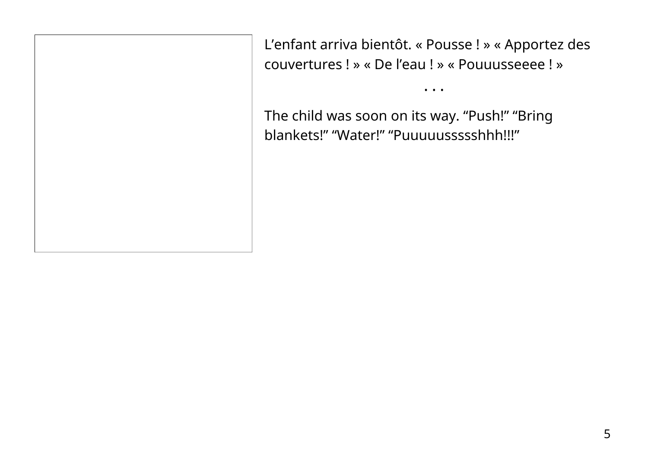L'enfant arriva bientôt. « Pousse ! » « Apportez des couvertures ! » « De l'eau ! » « Pouuusseeee ! »

• • •

The child was soon on its way. "Push!" "Bring blankets!" "Water!" "Puuuuussssshhh!!!"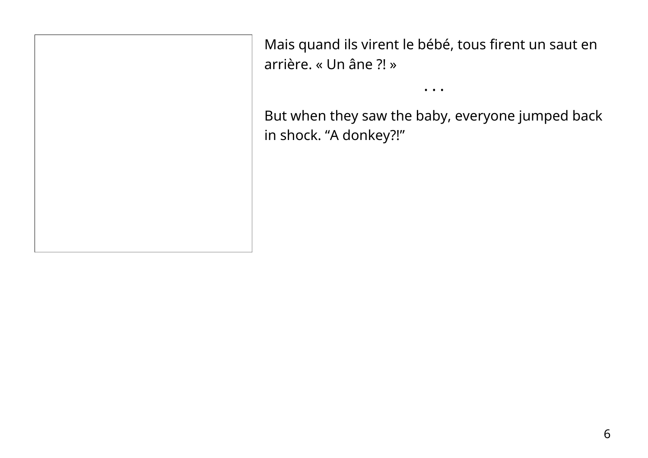Mais quand ils virent le bébé, tous firent un saut en arrière. « Un âne ?! »

But when they saw the baby, everyone jumped back in shock. "A donkey?!"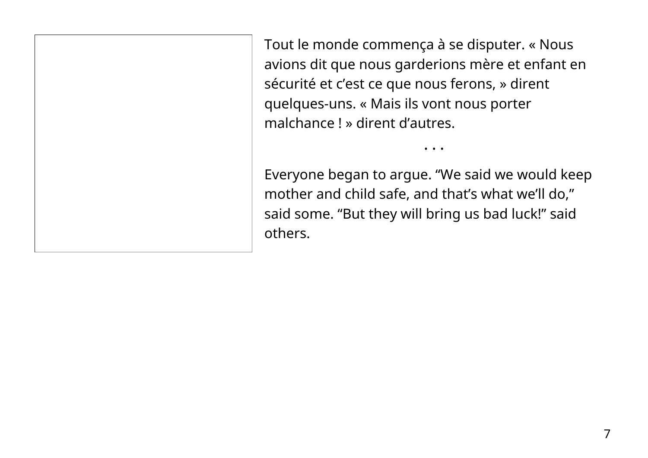Tout le monde commença à se disputer. « Nous avions dit que nous garderions mère et enfant en sécurité et c'est ce que nous ferons, » dirent quelques-uns. « Mais ils vont nous porter malchance ! » dirent d'autres.

Everyone began to argue. "We said we would keep mother and child safe, and that's what we'll do," said some. "But they will bring us bad luck!" said others.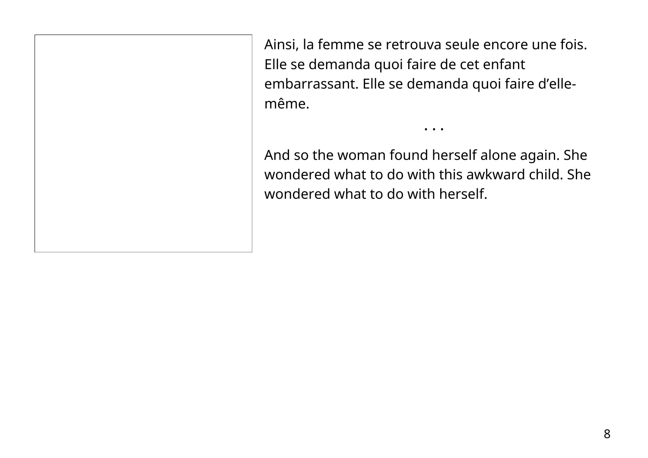Ainsi, la femme se retrouva seule encore une fois. Elle se demanda quoi faire de cet enfant embarrassant. Elle se demanda quoi faire d'ellemême.

And so the woman found herself alone again. She wondered what to do with this awkward child. She wondered what to do with herself.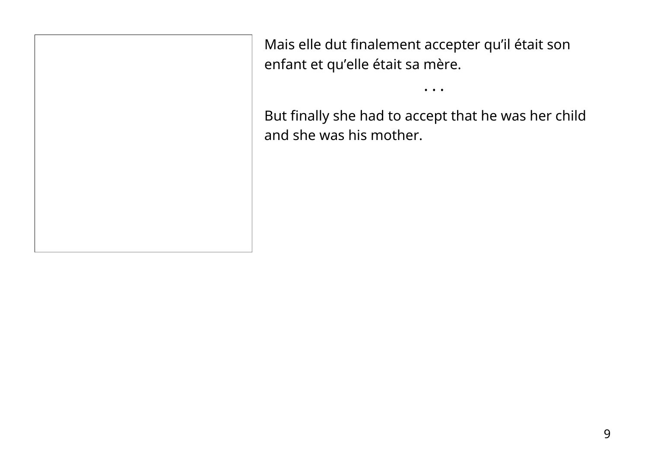Mais elle dut finalement accepter qu'il était son enfant et qu'elle était sa mère.

But finally she had to accept that he was her child and she was his mother.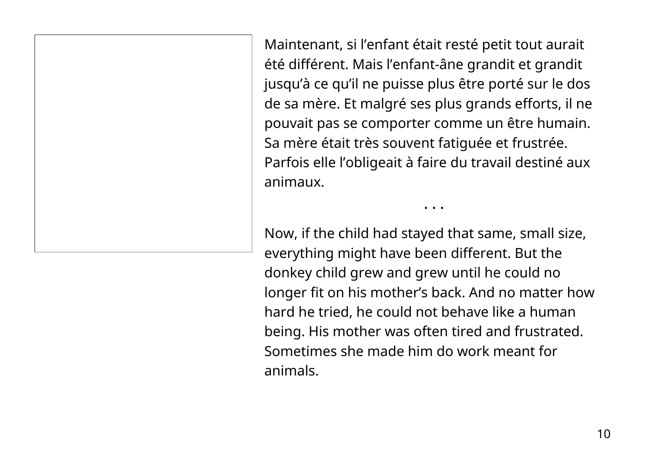Maintenant, si l'enfant était resté petit tout aurait été différent. Mais l'enfant-âne grandit et grandit jusqu'à ce qu'il ne puisse plus être porté sur le dos de sa mère. Et malgré ses plus grands efforts, il ne pouvait pas se comporter comme un être humain. Sa mère était très souvent fatiguée et frustrée. Parfois elle l'obligeait à faire du travail destiné aux animaux.

• • •

Now, if the child had stayed that same, small size, everything might have been different. But the donkey child grew and grew until he could no longer fit on his mother's back. And no matter how hard he tried, he could not behave like a human being. His mother was often tired and frustrated. Sometimes she made him do work meant for animals.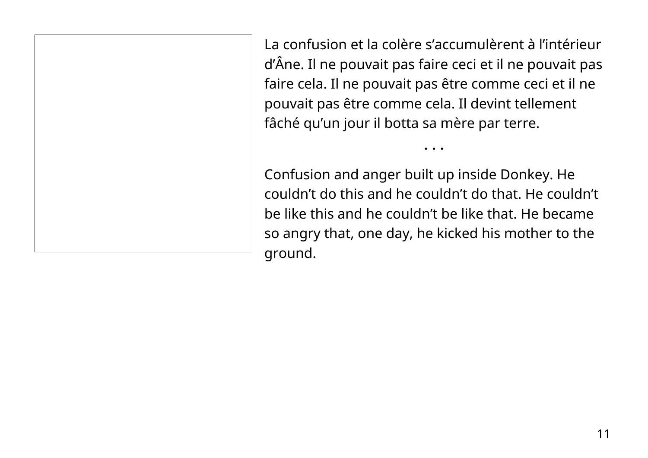La confusion et la colère s'accumulèrent à l'intérieur d'Âne. Il ne pouvait pas faire ceci et il ne pouvait pas faire cela. Il ne pouvait pas être comme ceci et il ne pouvait pas être comme cela. Il devint tellement fâché qu'un jour il botta sa mère par terre.

• • •

Confusion and anger built up inside Donkey. He couldn't do this and he couldn't do that. He couldn't be like this and he couldn't be like that. He became so angry that, one day, he kicked his mother to the ground.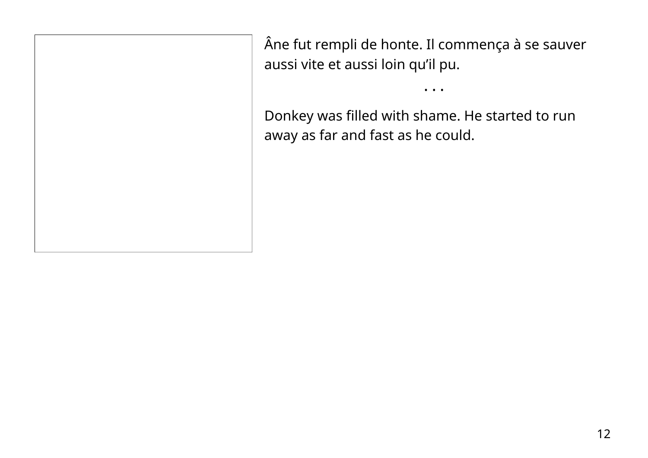Âne fut rempli de honte. Il commença à se sauver aussi vite et aussi loin qu'il pu.

• • •

Donkey was filled with shame. He started to run away as far and fast as he could.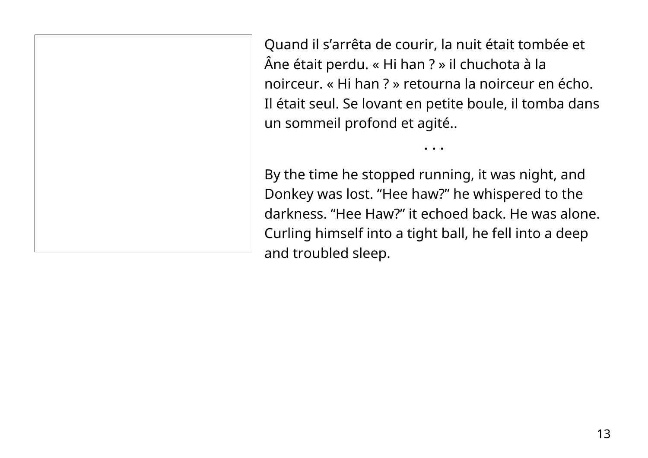Quand il s'arrêta de courir, la nuit était tombée et Âne était perdu. « Hi han ? » il chuchota à la noirceur. « Hi han ? » retourna la noirceur en écho. Il était seul. Se lovant en petite boule, il tomba dans un sommeil profond et agité..

• • •

By the time he stopped running, it was night, and Donkey was lost. "Hee haw?" he whispered to the darkness. "Hee Haw?" it echoed back. He was alone. Curling himself into a tight ball, he fell into a deep and troubled sleep.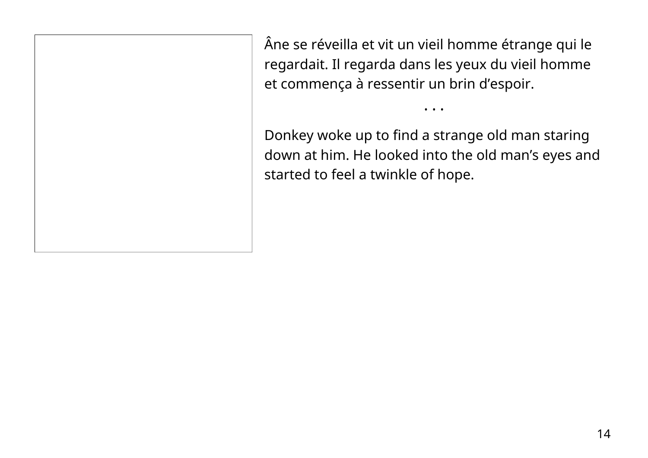Âne se réveilla et vit un vieil homme étrange qui le regardait. Il regarda dans les yeux du vieil homme et commença à ressentir un brin d'espoir.

Donkey woke up to find a strange old man staring down at him. He looked into the old man's eyes and started to feel a twinkle of hope.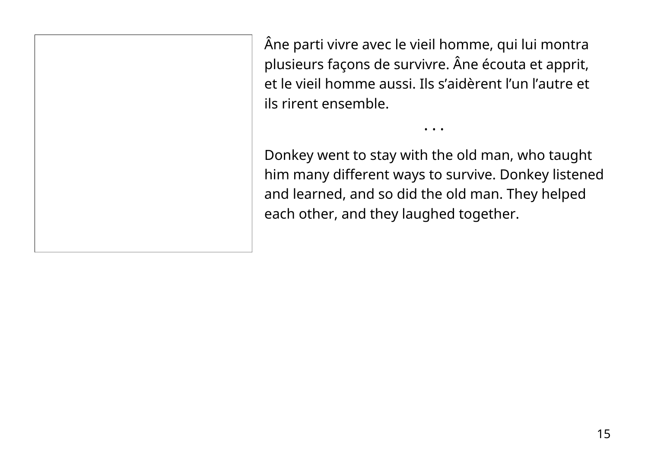Âne parti vivre avec le vieil homme, qui lui montra plusieurs façons de survivre. Âne écouta et apprit, et le vieil homme aussi. Ils s'aidèrent l'un l'autre et ils rirent ensemble.

Donkey went to stay with the old man, who taught him many different ways to survive. Donkey listened and learned, and so did the old man. They helped each other, and they laughed together.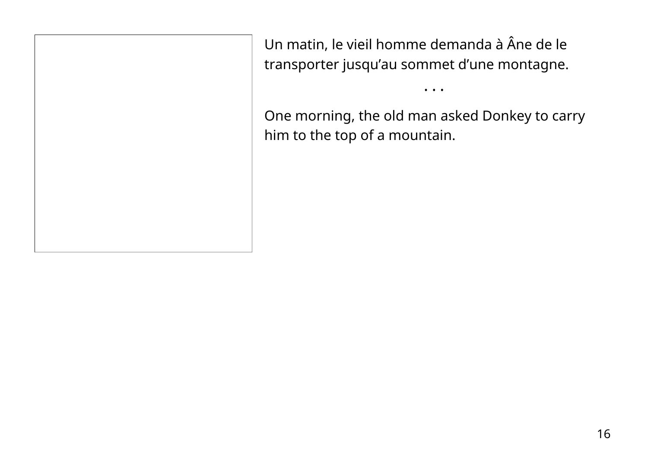Un matin, le vieil homme demanda à Âne de le transporter jusqu'au sommet d'une montagne.

One morning, the old man asked Donkey to carry him to the top of a mountain.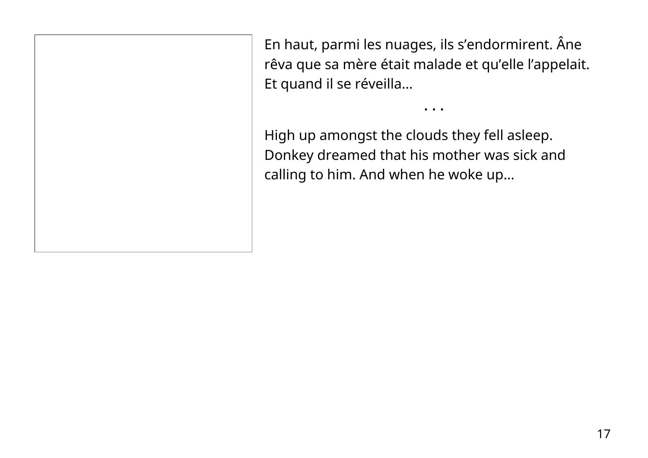En haut, parmi les nuages, ils s'endormirent. Âne rêva que sa mère était malade et qu'elle l'appelait. Et quand il se réveilla…

• • •

High up amongst the clouds they fell asleep. Donkey dreamed that his mother was sick and calling to him. And when he woke up…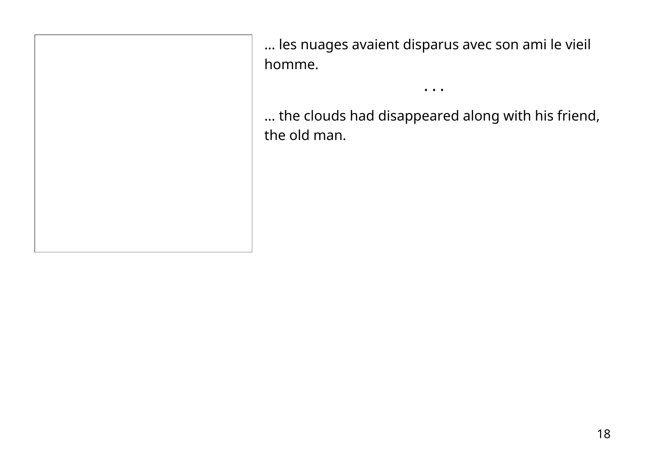… les nuages avaient disparus avec son ami le vieil homme.

… the clouds had disappeared along with his friend, the old man.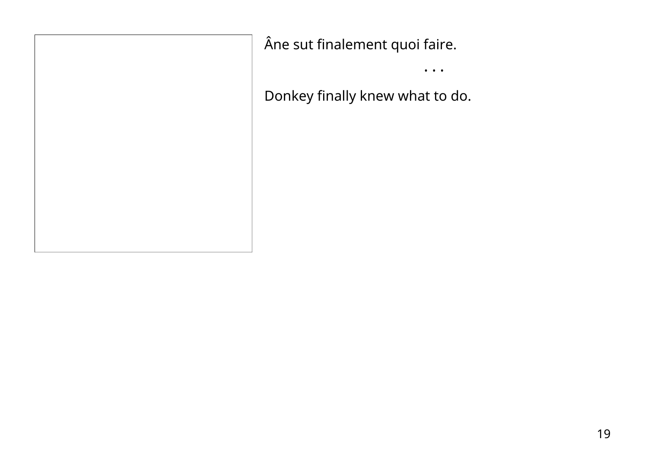Âne sut finalement quoi faire.

• • •

Donkey finally knew what to do.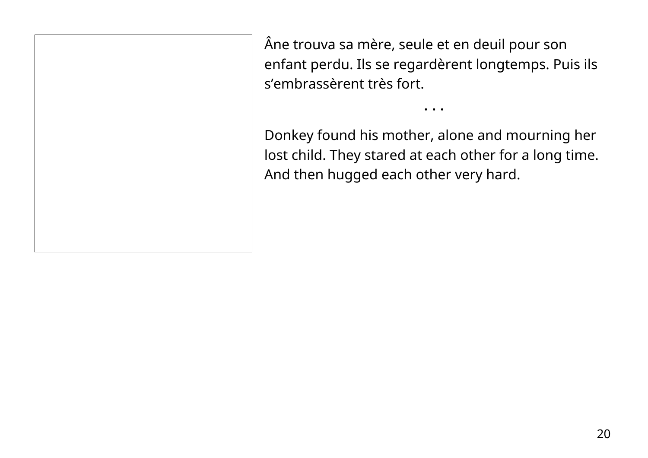Âne trouva sa mère, seule et en deuil pour son enfant perdu. Ils se regardèrent longtemps. Puis ils s'embrassèrent très fort.

Donkey found his mother, alone and mourning her lost child. They stared at each other for a long time. And then hugged each other very hard.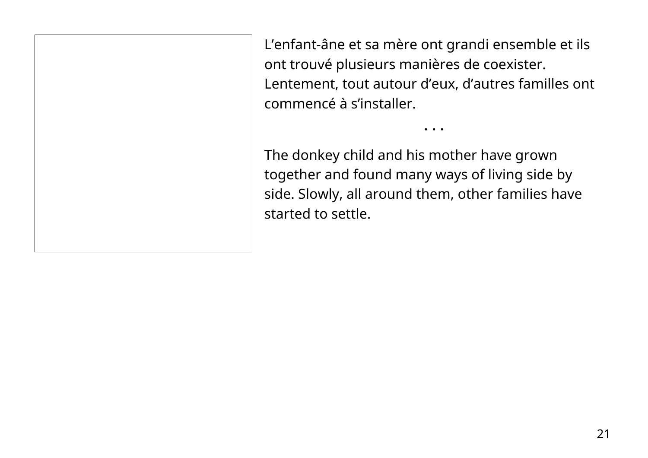L'enfant-âne et sa mère ont grandi ensemble et ils ont trouvé plusieurs manières de coexister. Lentement, tout autour d'eux, d'autres familles ont commencé à s'installer.

• • •

The donkey child and his mother have grown together and found many ways of living side by side. Slowly, all around them, other families have started to settle.